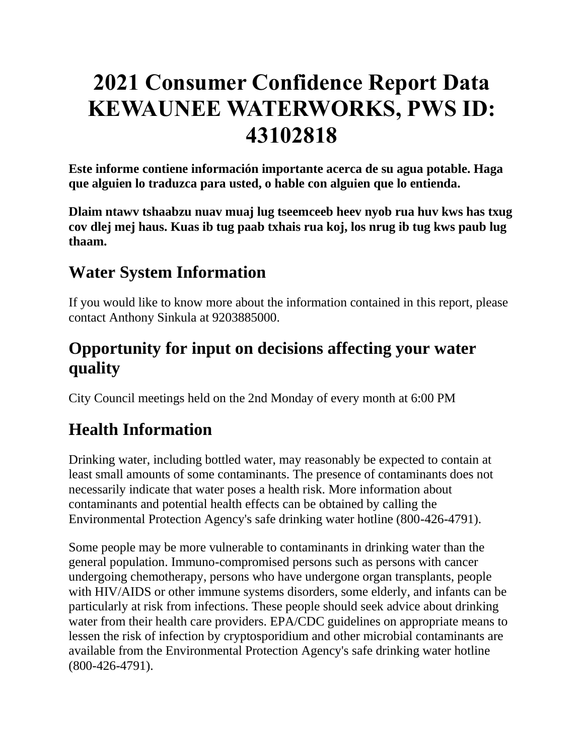# **2021 Consumer Confidence Report Data KEWAUNEE WATERWORKS, PWS ID: 43102818**

**Este informe contiene información importante acerca de su agua potable. Haga que alguien lo traduzca para usted, o hable con alguien que lo entienda.**

**Dlaim ntawv tshaabzu nuav muaj lug tseemceeb heev nyob rua huv kws has txug cov dlej mej haus. Kuas ib tug paab txhais rua koj, los nrug ib tug kws paub lug thaam.**

# **Water System Information**

If you would like to know more about the information contained in this report, please contact Anthony Sinkula at 9203885000.

# **Opportunity for input on decisions affecting your water quality**

City Council meetings held on the 2nd Monday of every month at 6:00 PM

# **Health Information**

Drinking water, including bottled water, may reasonably be expected to contain at least small amounts of some contaminants. The presence of contaminants does not necessarily indicate that water poses a health risk. More information about contaminants and potential health effects can be obtained by calling the Environmental Protection Agency's safe drinking water hotline (800-426-4791).

Some people may be more vulnerable to contaminants in drinking water than the general population. Immuno-compromised persons such as persons with cancer undergoing chemotherapy, persons who have undergone organ transplants, people with HIV/AIDS or other immune systems disorders, some elderly, and infants can be particularly at risk from infections. These people should seek advice about drinking water from their health care providers. EPA/CDC guidelines on appropriate means to lessen the risk of infection by cryptosporidium and other microbial contaminants are available from the Environmental Protection Agency's safe drinking water hotline (800-426-4791).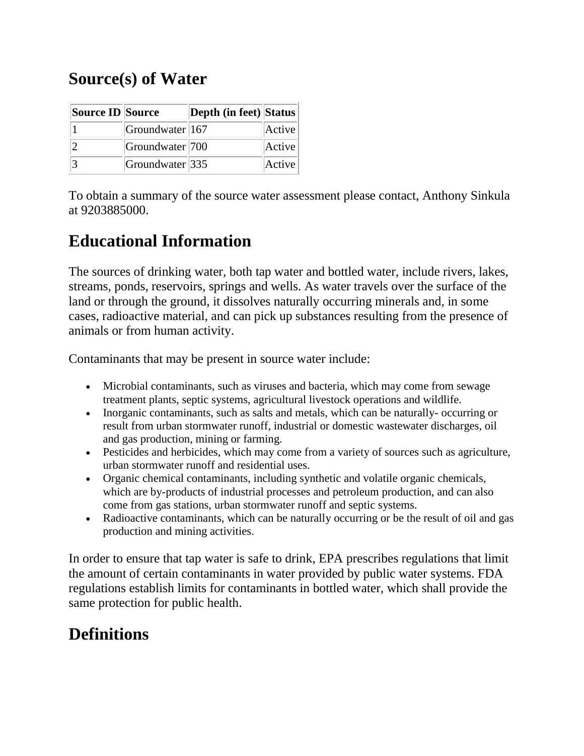# **Source(s) of Water**

| Source ID Source |                            | Depth (in feet) Status |        |
|------------------|----------------------------|------------------------|--------|
|                  | Groundwater 167            |                        | Active |
|                  | Groundwater 700            |                        | Active |
|                  | Groundwater <sup>335</sup> |                        | Active |

To obtain a summary of the source water assessment please contact, Anthony Sinkula at 9203885000.

## **Educational Information**

The sources of drinking water, both tap water and bottled water, include rivers, lakes, streams, ponds, reservoirs, springs and wells. As water travels over the surface of the land or through the ground, it dissolves naturally occurring minerals and, in some cases, radioactive material, and can pick up substances resulting from the presence of animals or from human activity.

Contaminants that may be present in source water include:

- Microbial contaminants, such as viruses and bacteria, which may come from sewage treatment plants, septic systems, agricultural livestock operations and wildlife.
- Inorganic contaminants, such as salts and metals, which can be naturally-occurring or result from urban stormwater runoff, industrial or domestic wastewater discharges, oil and gas production, mining or farming.
- Pesticides and herbicides, which may come from a variety of sources such as agriculture, urban stormwater runoff and residential uses.
- Organic chemical contaminants, including synthetic and volatile organic chemicals, which are by-products of industrial processes and petroleum production, and can also come from gas stations, urban stormwater runoff and septic systems.
- Radioactive contaminants, which can be naturally occurring or be the result of oil and gas production and mining activities.

In order to ensure that tap water is safe to drink, EPA prescribes regulations that limit the amount of certain contaminants in water provided by public water systems. FDA regulations establish limits for contaminants in bottled water, which shall provide the same protection for public health.

## **Definitions**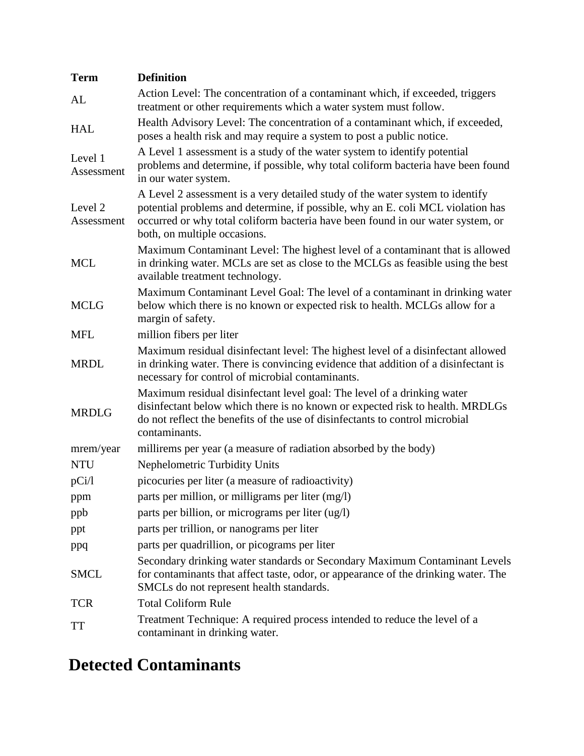| <b>Term</b>           | <b>Definition</b>                                                                                                                                                                                                                                                                   |
|-----------------------|-------------------------------------------------------------------------------------------------------------------------------------------------------------------------------------------------------------------------------------------------------------------------------------|
| AL                    | Action Level: The concentration of a contaminant which, if exceeded, triggers<br>treatment or other requirements which a water system must follow.                                                                                                                                  |
| <b>HAL</b>            | Health Advisory Level: The concentration of a contaminant which, if exceeded,<br>poses a health risk and may require a system to post a public notice.                                                                                                                              |
| Level 1<br>Assessment | A Level 1 assessment is a study of the water system to identify potential<br>problems and determine, if possible, why total coliform bacteria have been found<br>in our water system.                                                                                               |
| Level 2<br>Assessment | A Level 2 assessment is a very detailed study of the water system to identify<br>potential problems and determine, if possible, why an E. coli MCL violation has<br>occurred or why total coliform bacteria have been found in our water system, or<br>both, on multiple occasions. |
| <b>MCL</b>            | Maximum Contaminant Level: The highest level of a contaminant that is allowed<br>in drinking water. MCLs are set as close to the MCLGs as feasible using the best<br>available treatment technology.                                                                                |
| <b>MCLG</b>           | Maximum Contaminant Level Goal: The level of a contaminant in drinking water<br>below which there is no known or expected risk to health. MCLGs allow for a<br>margin of safety.                                                                                                    |
| <b>MFL</b>            | million fibers per liter                                                                                                                                                                                                                                                            |
| <b>MRDL</b>           | Maximum residual disinfectant level: The highest level of a disinfectant allowed<br>in drinking water. There is convincing evidence that addition of a disinfectant is<br>necessary for control of microbial contaminants.                                                          |
| <b>MRDLG</b>          | Maximum residual disinfectant level goal: The level of a drinking water<br>disinfectant below which there is no known or expected risk to health. MRDLGs<br>do not reflect the benefits of the use of disinfectants to control microbial<br>contaminants.                           |
| mrem/year             | millirems per year (a measure of radiation absorbed by the body)                                                                                                                                                                                                                    |
| <b>NTU</b>            | <b>Nephelometric Turbidity Units</b>                                                                                                                                                                                                                                                |
| pCi/l                 | picocuries per liter (a measure of radioactivity)                                                                                                                                                                                                                                   |
| ppm                   | parts per million, or milligrams per liter (mg/l)                                                                                                                                                                                                                                   |
| ppb                   | parts per billion, or micrograms per liter (ug/l)                                                                                                                                                                                                                                   |
| ppt                   | parts per trillion, or nanograms per liter                                                                                                                                                                                                                                          |
| ppq                   | parts per quadrillion, or picograms per liter                                                                                                                                                                                                                                       |
| <b>SMCL</b>           | Secondary drinking water standards or Secondary Maximum Contaminant Levels<br>for contaminants that affect taste, odor, or appearance of the drinking water. The<br>SMCLs do not represent health standards.                                                                        |
| <b>TCR</b>            | <b>Total Coliform Rule</b>                                                                                                                                                                                                                                                          |
| <b>TT</b>             | Treatment Technique: A required process intended to reduce the level of a<br>contaminant in drinking water.                                                                                                                                                                         |

# **Detected Contaminants**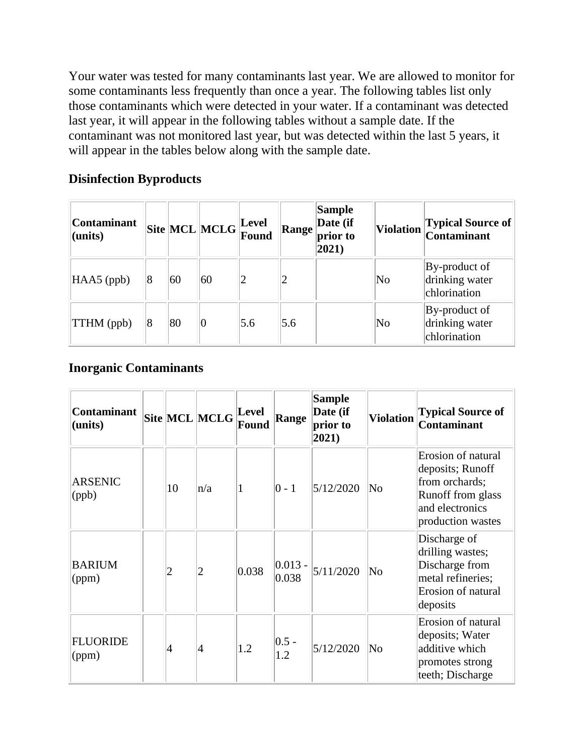Your water was tested for many contaminants last year. We are allowed to monitor for some contaminants less frequently than once a year. The following tables list only those contaminants which were detected in your water. If a contaminant was detected last year, it will appear in the following tables without a sample date. If the contaminant was not monitored last year, but was detected within the last 5 years, it will appear in the tables below along with the sample date.

#### **Disinfection Byproducts**

| <b>Contaminant</b><br>(units) |   |    | $\boxed{\text{Site}}\boxed{\text{MCL}}\boxed{\text{MCLG}}\boxed{\text{Level}}$ |     | Range | <b>Sample</b><br>Date (if<br>prior to<br>$ 2021\rangle$ |                        | Violation Typical Source of<br>Contaminant      |
|-------------------------------|---|----|--------------------------------------------------------------------------------|-----|-------|---------------------------------------------------------|------------------------|-------------------------------------------------|
| $HAAS$ (ppb)                  | 8 | 60 | 60                                                                             |     |       |                                                         | No                     | By-product of<br>drinking water<br>chlorination |
| <b>TTHM</b> (ppb)             | 8 | 80 | $\overline{0}$                                                                 | 5.6 | 5.6   |                                                         | $\overline{\text{No}}$ | By-product of<br>drinking water<br>chlorination |

#### **Inorganic Contaminants**

| <b>Contaminant</b><br>(units) |    | Site MCL MCLG | Level<br>Found | <b>Range</b>        | <b>Sample</b><br>Date (if<br>prior to<br>2021) | <b>Violation</b>       | <b>Typical Source of</b><br><b>Contaminant</b>                                                                        |
|-------------------------------|----|---------------|----------------|---------------------|------------------------------------------------|------------------------|-----------------------------------------------------------------------------------------------------------------------|
| <b>ARSENIC</b><br>(ppb)       | 10 | n/a           |                | $ 0 - 1 $           | 5/12/2020                                      | No                     | Erosion of natural<br>deposits; Runoff<br>from orchards;<br>Runoff from glass<br>and electronics<br>production wastes |
| <b>BARIUM</b><br>(ppm)        | 2  | 2             | 0.038          | $ 0.013 -$<br>0.038 | 5/11/2020                                      | No                     | Discharge of<br>drilling wastes;<br>Discharge from<br>metal refineries;<br>Erosion of natural<br>deposits             |
| <b>FLUORIDE</b><br>(ppm)      | 4  | 4             | 1.2            | $ 0.5 -$<br>1.2     | 5/12/2020                                      | $\overline{\text{No}}$ | Erosion of natural<br>deposits; Water<br>additive which<br>promotes strong<br>teeth; Discharge                        |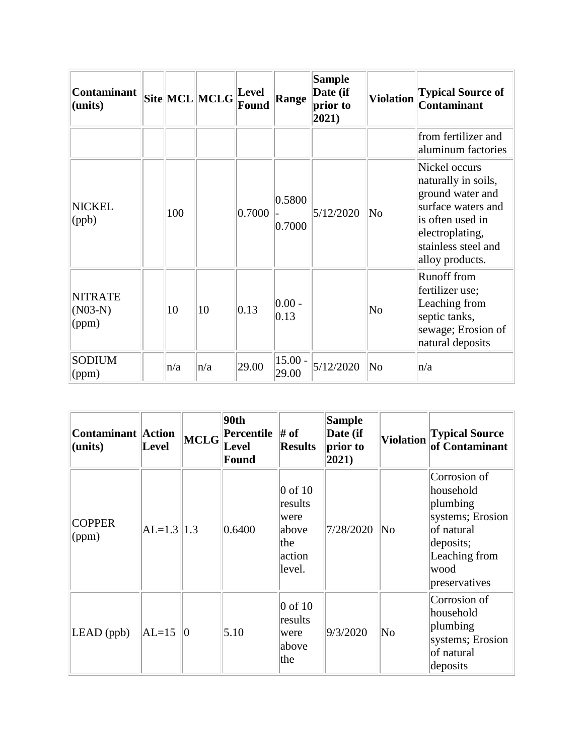| <b>Contaminant</b><br>(units)        |     | Site MCL MCLG | Level<br>Found | <b>Range</b>       | <b>Sample</b><br>Date (if<br>prior to<br>2021) | <b>Violation</b>       | <b>Typical Source of</b><br><b>Contaminant</b>                                                                                                                  |
|--------------------------------------|-----|---------------|----------------|--------------------|------------------------------------------------|------------------------|-----------------------------------------------------------------------------------------------------------------------------------------------------------------|
|                                      |     |               |                |                    |                                                |                        | from fertilizer and<br>aluminum factories                                                                                                                       |
| <b>NICKEL</b><br>(ppb)               | 100 |               | 0.7000         | 0.5800<br>0.7000   | 5/12/2020                                      | $\overline{\text{No}}$ | Nickel occurs<br>naturally in soils,<br>ground water and<br>surface waters and<br>is often used in<br>electroplating,<br>stainless steel and<br>alloy products. |
| <b>NITRATE</b><br>$(NO3-N)$<br>(ppm) | 10  | 10            | 0.13           | $ 0.00 -$<br> 0.13 |                                                | $\overline{\text{No}}$ | <b>Runoff from</b><br>fertilizer use;<br>Leaching from<br>septic tanks,<br>sewage; Erosion of<br>natural deposits                                               |
| <b>SODIUM</b><br>$\gamma$ (ppm)      | n/a | n/a           | 29.00          | $15.00 -$<br>29.00 | 5/12/2020                                      | $\overline{\text{No}}$ | n/a                                                                                                                                                             |

| <b>Contaminant</b> Action<br>(units) | Level          | MCLG      | 90th<br><b>Percentile</b> $\#$ of<br><b>Level</b><br><b>Found</b> | <b>Results</b>                                                   | <b>Sample</b><br>Date (if<br>prior to<br>$ 2021\rangle$ | <b>Violation</b> | <b>Typical Source</b><br>of Contaminant                                                                                        |
|--------------------------------------|----------------|-----------|-------------------------------------------------------------------|------------------------------------------------------------------|---------------------------------------------------------|------------------|--------------------------------------------------------------------------------------------------------------------------------|
| <b>COPPER</b><br>(ppm)               | $ AL=1.3  1.3$ |           | 0.6400                                                            | $0$ of 10<br>results<br>were<br>above<br>the<br>action<br>level. | 7/28/2020                                               | No               | Corrosion of<br>household<br>plumbing<br>systems; Erosion<br>of natural<br>deposits;<br>Leaching from<br>wood<br>preservatives |
| $LEAD$ (ppb)                         | $AL=15$        | $\vert$ 0 | 5.10                                                              | $0$ of 10<br>results<br>were<br>above<br>the                     | 9/3/2020                                                | No               | Corrosion of<br>household<br>plumbing<br>systems; Erosion<br>of natural<br>deposits                                            |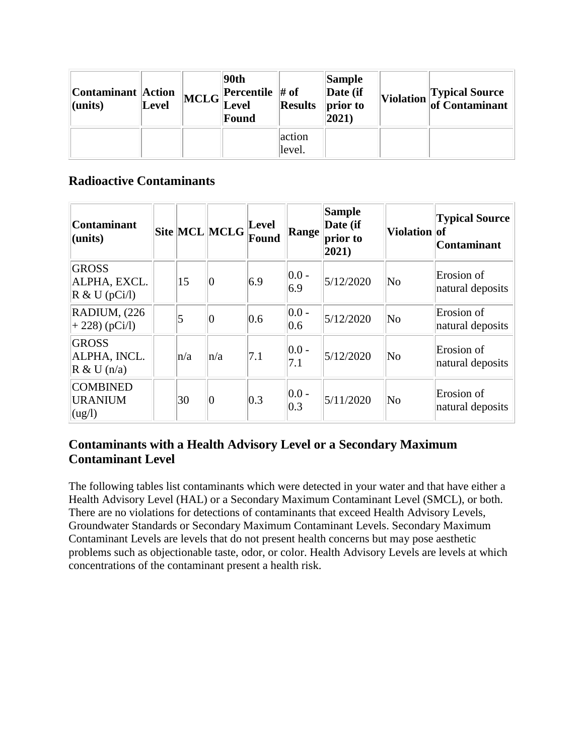| Contaminant Action<br>$ $ (units) | Level | 90th<br>$\left\  \text{MCLG} \right\ _{\text{I} \text{ and } \text{I} \text{}}^{\text{Percentile}}$<br>Level<br>Found | <b>Results</b>   | Sample<br>$\vert$ Date (if<br>prior to<br>$ 2021\rangle$ | Violation Typical Source |
|-----------------------------------|-------|-----------------------------------------------------------------------------------------------------------------------|------------------|----------------------------------------------------------|--------------------------|
|                                   |       |                                                                                                                       | action<br>level. |                                                          |                          |

#### **Radioactive Contaminants**

| <b>Contaminant</b><br>(units)                              |         | Site MCL MCLG | Level<br>Found | Range                     | <b>Sample</b><br>Date (if<br>prior to<br>$ 2021\rangle$ | Violation of           | <b>Typical Source</b><br><b>Contaminant</b> |
|------------------------------------------------------------|---------|---------------|----------------|---------------------------|---------------------------------------------------------|------------------------|---------------------------------------------|
| <b>GROSS</b><br>ALPHA, EXCL.<br>$R \& U (pCi/l)$           | 15      | 0             | 6.9            | $ 0.0 -$<br>6.9           | 5/12/2020                                               | $\overline{\text{No}}$ | Erosion of<br>natural deposits              |
| RADIUM, (226<br>$+ 228$ ) (pCi/l)                          | 5       | 0             | 0.6            | $ 0.0 -$<br>0.6           | 5/12/2020                                               | $\overline{\text{No}}$ | Erosion of<br>natural deposits              |
| <b>GROSS</b><br>ALPHA, INCL.<br>$R \& U(n/a)$              | $\ln/a$ | $\ln/a$       | 7.1            | $ 0.0 -$<br>7.1           | 5/12/2020                                               | $\overline{\text{No}}$ | Erosion of<br>natural deposits              |
| <b>COMBINED</b><br><b>URANIUM</b><br>$\log$ <sup>1</sup> ) | 30      | 0             | $ 0.3\rangle$  | $ 0.0 -$<br>$ 0.3\rangle$ | 5/11/2020                                               | $\overline{\text{No}}$ | Erosion of<br>natural deposits              |

#### **Contaminants with a Health Advisory Level or a Secondary Maximum Contaminant Level**

The following tables list contaminants which were detected in your water and that have either a Health Advisory Level (HAL) or a Secondary Maximum Contaminant Level (SMCL), or both. There are no violations for detections of contaminants that exceed Health Advisory Levels, Groundwater Standards or Secondary Maximum Contaminant Levels. Secondary Maximum Contaminant Levels are levels that do not present health concerns but may pose aesthetic problems such as objectionable taste, odor, or color. Health Advisory Levels are levels at which concentrations of the contaminant present a health risk.